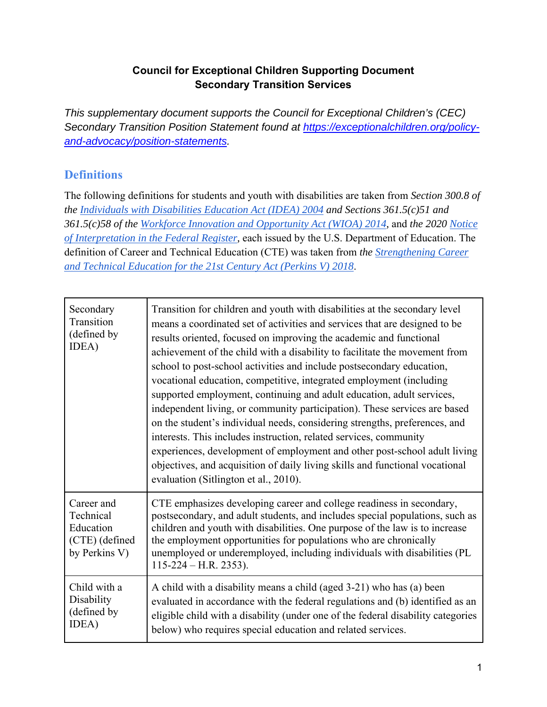# **Council for Exceptional Children Supporting Document Secondary Transition Services**

*This supplementary document supports the Council for Exceptional Children's (CEC) Secondary Transition Position Statement found at https://exceptionalchildren.org/policyand-advocacy/position-statements.* 

# **Definitions**

The following definitions for students and youth with disabilities are taken from *Section 300.8 of the Individuals with Disabilities Education Act (IDEA) 2004 and Sections 361.5(c)51 and 361.5(c)58 of the Workforce Innovation and Opportunity Act (WIOA) 2014,* and *the 2020 Notice of Interpretation in the Federal Register,* each issued by the U.S. Department of Education. The definition of Career and Technical Education (CTE) was taken from *the Strengthening Career and Technical Education for the 21st Century Act (Perkins V) 2018*.

| Secondary<br>Transition<br>(defined by<br>IDEA)                         | Transition for children and youth with disabilities at the secondary level<br>means a coordinated set of activities and services that are designed to be<br>results oriented, focused on improving the academic and functional<br>achievement of the child with a disability to facilitate the movement from<br>school to post-school activities and include postsecondary education,<br>vocational education, competitive, integrated employment (including<br>supported employment, continuing and adult education, adult services,<br>independent living, or community participation). These services are based<br>on the student's individual needs, considering strengths, preferences, and<br>interests. This includes instruction, related services, community<br>experiences, development of employment and other post-school adult living<br>objectives, and acquisition of daily living skills and functional vocational<br>evaluation (Sitlington et al., 2010). |
|-------------------------------------------------------------------------|-----------------------------------------------------------------------------------------------------------------------------------------------------------------------------------------------------------------------------------------------------------------------------------------------------------------------------------------------------------------------------------------------------------------------------------------------------------------------------------------------------------------------------------------------------------------------------------------------------------------------------------------------------------------------------------------------------------------------------------------------------------------------------------------------------------------------------------------------------------------------------------------------------------------------------------------------------------------------------|
| Career and<br>Technical<br>Education<br>(CTE) (defined<br>by Perkins V) | CTE emphasizes developing career and college readiness in secondary,<br>postsecondary, and adult students, and includes special populations, such as<br>children and youth with disabilities. One purpose of the law is to increase<br>the employment opportunities for populations who are chronically<br>unemployed or underemployed, including individuals with disabilities (PL<br>$115-224 - H.R. 2353$ ).                                                                                                                                                                                                                                                                                                                                                                                                                                                                                                                                                             |
| Child with a<br>Disability<br>(defined by<br>IDEA)                      | A child with a disability means a child (aged 3-21) who has (a) been<br>evaluated in accordance with the federal regulations and (b) identified as an<br>eligible child with a disability (under one of the federal disability categories<br>below) who requires special education and related services.                                                                                                                                                                                                                                                                                                                                                                                                                                                                                                                                                                                                                                                                    |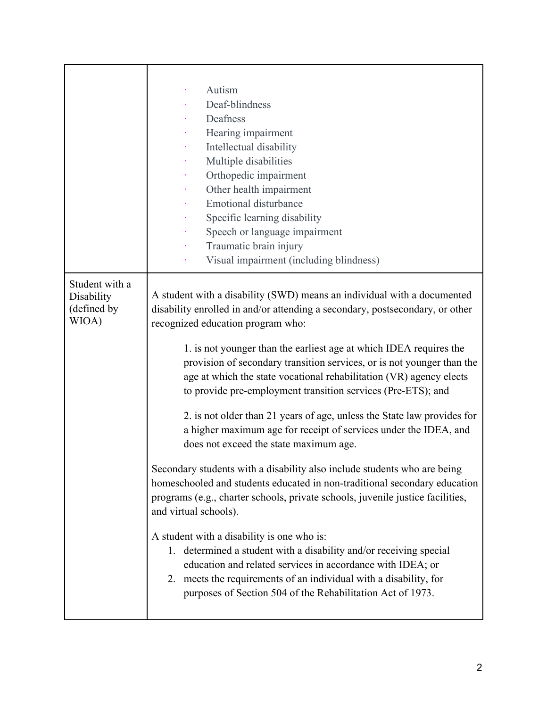|                                                      | Autism<br>Deaf-blindness<br>Deafness<br>Hearing impairment<br>Intellectual disability<br>٠<br>Multiple disabilities<br>Orthopedic impairment<br>Other health impairment<br><b>Emotional disturbance</b><br>Specific learning disability<br>Speech or language impairment<br>Traumatic brain injury<br>Visual impairment (including blindness)                                                                                                                                                                                                                                                                                                                                                                                                                                                                                                                                                                                                                                                                                                                                                                                                                                                                                                                         |
|------------------------------------------------------|-----------------------------------------------------------------------------------------------------------------------------------------------------------------------------------------------------------------------------------------------------------------------------------------------------------------------------------------------------------------------------------------------------------------------------------------------------------------------------------------------------------------------------------------------------------------------------------------------------------------------------------------------------------------------------------------------------------------------------------------------------------------------------------------------------------------------------------------------------------------------------------------------------------------------------------------------------------------------------------------------------------------------------------------------------------------------------------------------------------------------------------------------------------------------------------------------------------------------------------------------------------------------|
| Student with a<br>Disability<br>(defined by<br>WIOA) | A student with a disability (SWD) means an individual with a documented<br>disability enrolled in and/or attending a secondary, postsecondary, or other<br>recognized education program who:<br>1. is not younger than the earliest age at which IDEA requires the<br>provision of secondary transition services, or is not younger than the<br>age at which the state vocational rehabilitation (VR) agency elects<br>to provide pre-employment transition services (Pre-ETS); and<br>2. is not older than 21 years of age, unless the State law provides for<br>a higher maximum age for receipt of services under the IDEA, and<br>does not exceed the state maximum age.<br>Secondary students with a disability also include students who are being<br>homeschooled and students educated in non-traditional secondary education<br>programs (e.g., charter schools, private schools, juvenile justice facilities,<br>and virtual schools).<br>A student with a disability is one who is:<br>1. determined a student with a disability and/or receiving special<br>education and related services in accordance with IDEA; or<br>2. meets the requirements of an individual with a disability, for<br>purposes of Section 504 of the Rehabilitation Act of 1973. |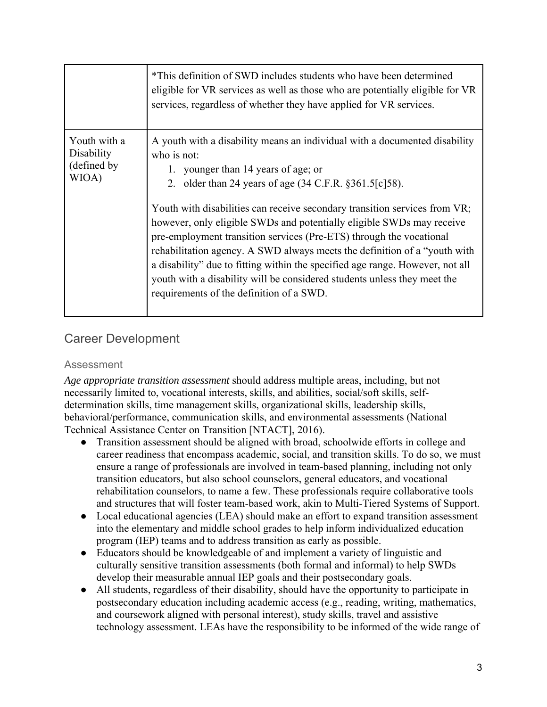|                                                    | *This definition of SWD includes students who have been determined<br>eligible for VR services as well as those who are potentially eligible for VR<br>services, regardless of whether they have applied for VR services.                                                                                                                                                                                                                                                                                        |
|----------------------------------------------------|------------------------------------------------------------------------------------------------------------------------------------------------------------------------------------------------------------------------------------------------------------------------------------------------------------------------------------------------------------------------------------------------------------------------------------------------------------------------------------------------------------------|
| Youth with a<br>Disability<br>(defined by<br>WIOA) | A youth with a disability means an individual with a documented disability<br>who is not:<br>younger than 14 years of age; or<br>1.<br>2. older than 24 years of age $(34 \text{ C.F.R. } §361.5[c]58)$ .                                                                                                                                                                                                                                                                                                        |
|                                                    | Youth with disabilities can receive secondary transition services from VR;<br>however, only eligible SWDs and potentially eligible SWDs may receive<br>pre-employment transition services (Pre-ETS) through the vocational<br>rehabilitation agency. A SWD always meets the definition of a "youth with<br>a disability" due to fitting within the specified age range. However, not all<br>youth with a disability will be considered students unless they meet the<br>requirements of the definition of a SWD. |

# Career Development

#### Assessment

*Age appropriate transition assessment* should address multiple areas, including, but not necessarily limited to, vocational interests, skills, and abilities, social/soft skills, selfdetermination skills, time management skills, organizational skills, leadership skills, behavioral/performance, communication skills, and environmental assessments (National Technical Assistance Center on Transition [NTACT], 2016).

- Transition assessment should be aligned with broad, schoolwide efforts in college and career readiness that encompass academic, social, and transition skills. To do so, we must ensure a range of professionals are involved in team-based planning, including not only transition educators, but also school counselors, general educators, and vocational rehabilitation counselors, to name a few. These professionals require collaborative tools and structures that will foster team-based work, akin to Multi-Tiered Systems of Support.
- Local educational agencies (LEA) should make an effort to expand transition assessment into the elementary and middle school grades to help inform individualized education program (IEP) teams and to address transition as early as possible.
- Educators should be knowledgeable of and implement a variety of linguistic and culturally sensitive transition assessments (both formal and informal) to help SWDs develop their measurable annual IEP goals and their postsecondary goals.
- All students, regardless of their disability, should have the opportunity to participate in postsecondary education including academic access (e.g., reading, writing, mathematics, and coursework aligned with personal interest), study skills, travel and assistive technology assessment. LEAs have the responsibility to be informed of the wide range of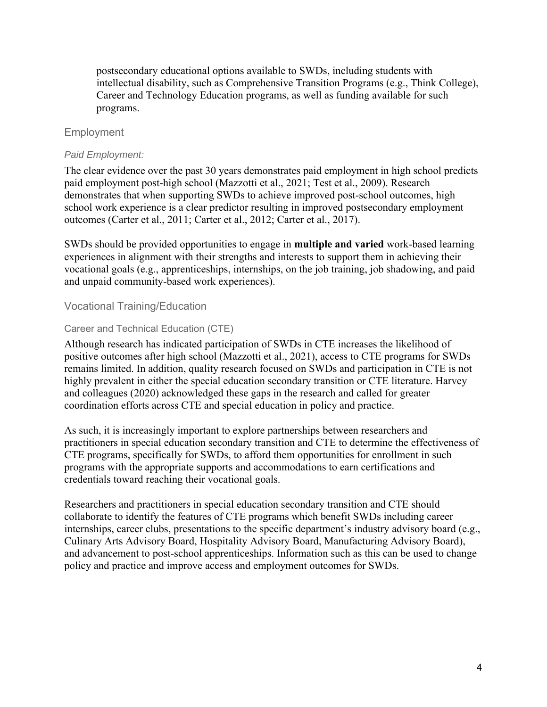postsecondary educational options available to SWDs, including students with intellectual disability, such as Comprehensive Transition Programs (e.g., Think College), Career and Technology Education programs, as well as funding available for such programs.

## Employment

#### *Paid Employment:*

The clear evidence over the past 30 years demonstrates paid employment in high school predicts paid employment post-high school (Mazzotti et al., 2021; Test et al., 2009). Research demonstrates that when supporting SWDs to achieve improved post-school outcomes, high school work experience is a clear predictor resulting in improved postsecondary employment outcomes (Carter et al., 2011; Carter et al., 2012; Carter et al., 2017).

SWDs should be provided opportunities to engage in **multiple and varied** work-based learning experiences in alignment with their strengths and interests to support them in achieving their vocational goals (e.g., apprenticeships, internships, on the job training, job shadowing, and paid and unpaid community-based work experiences).

#### Vocational Training/Education

#### Career and Technical Education (CTE)

Although research has indicated participation of SWDs in CTE increases the likelihood of positive outcomes after high school (Mazzotti et al., 2021), access to CTE programs for SWDs remains limited. In addition, quality research focused on SWDs and participation in CTE is not highly prevalent in either the special education secondary transition or CTE literature. Harvey and colleagues (2020) acknowledged these gaps in the research and called for greater coordination efforts across CTE and special education in policy and practice.

As such, it is increasingly important to explore partnerships between researchers and practitioners in special education secondary transition and CTE to determine the effectiveness of CTE programs, specifically for SWDs, to afford them opportunities for enrollment in such programs with the appropriate supports and accommodations to earn certifications and credentials toward reaching their vocational goals.

Researchers and practitioners in special education secondary transition and CTE should collaborate to identify the features of CTE programs which benefit SWDs including career internships, career clubs, presentations to the specific department's industry advisory board (e.g., Culinary Arts Advisory Board, Hospitality Advisory Board, Manufacturing Advisory Board), and advancement to post-school apprenticeships. Information such as this can be used to change policy and practice and improve access and employment outcomes for SWDs.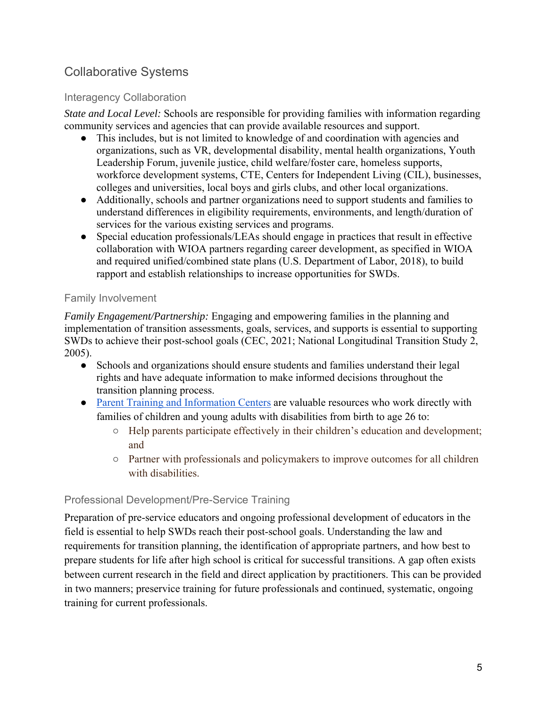# Collaborative Systems

## Interagency Collaboration

*State and Local Level:* Schools are responsible for providing families with information regarding community services and agencies that can provide available resources and support.

- This includes, but is not limited to knowledge of and coordination with agencies and organizations, such as VR, developmental disability, mental health organizations, Youth Leadership Forum, juvenile justice, child welfare/foster care, homeless supports, workforce development systems, CTE, Centers for Independent Living (CIL), businesses, colleges and universities, local boys and girls clubs, and other local organizations.
- Additionally, schools and partner organizations need to support students and families to understand differences in eligibility requirements, environments, and length/duration of services for the various existing services and programs.
- Special education professionals/LEAs should engage in practices that result in effective collaboration with WIOA partners regarding career development, as specified in WIOA and required unified/combined state plans (U.S. Department of Labor, 2018), to build rapport and establish relationships to increase opportunities for SWDs.

## Family Involvement

*Family Engagement/Partnership:* Engaging and empowering families in the planning and implementation of transition assessments, goals, services, and supports is essential to supporting SWDs to achieve their post-school goals (CEC, 2021; National Longitudinal Transition Study 2, 2005).

- Schools and organizations should ensure students and families understand their legal rights and have adequate information to make informed decisions throughout the transition planning process.
- Parent Training and Information Centers are valuable resources who work directly with families of children and young adults with disabilities from birth to age 26 to:
	- Help parents participate effectively in their children's education and development; and
	- Partner with professionals and policymakers to improve outcomes for all children with disabilities.

# Professional Development/Pre-Service Training

Preparation of pre-service educators and ongoing professional development of educators in the field is essential to help SWDs reach their post-school goals. Understanding the law and requirements for transition planning, the identification of appropriate partners, and how best to prepare students for life after high school is critical for successful transitions. A gap often exists between current research in the field and direct application by practitioners. This can be provided in two manners; preservice training for future professionals and continued, systematic, ongoing training for current professionals.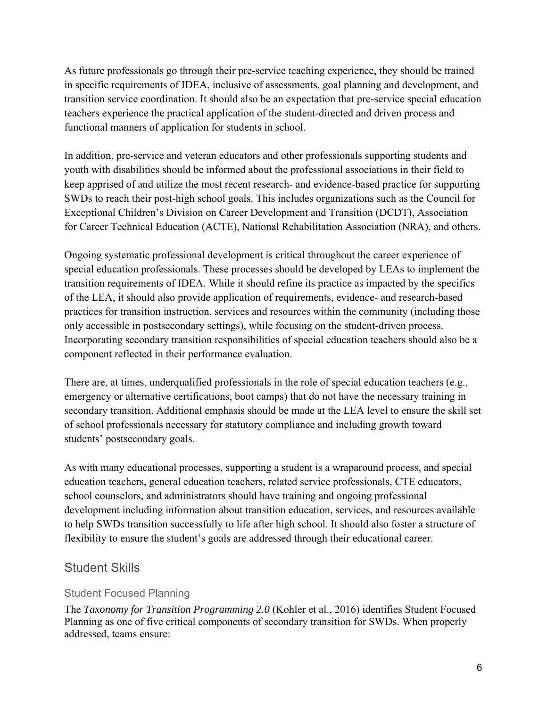As future professionals go through their pre-service teaching experience, they should be trained in specific requirements of IDEA, inclusive of assessments, goal planning and development, and transition service coordination. It should also be an expectation that pre-service special education teachers experience the practical application of the student-directed and driven process and functional manners of application for students in school.

In addition, pre-service and veteran educators and other professionals supporting students and youth with disabilities should be informed about the professional associations in their field to keep apprised of and utilize the most recent research- and evidence-based practice for supporting SWDs to reach their post-high school goals. This includes organizations such as the Council for Exceptional Children's Division on Career Development and Transition (DCDT), Association for Career Technical Education (ACTE), National Rehabilitation Association (NRA), and others.

Ongoing systematic professional development is critical throughout the career experience of special education professionals. These processes should be developed by LEAs to implement the transition requirements of IDEA. While it should refine its practice as impacted by the specifics of the LEA, it should also provide application of requirements, evidence- and research-based practices for transition instruction, services and resources within the community (including those only accessible in postsecondary settings), while focusing on the student-driven process. Incorporating secondary transition responsibilities of special education teachers should also be a component reflected in their performance evaluation.

There are, at times, underqualified professionals in the role of special education teachers (e.g., emergency or alternative certifications, boot camps) that do not have the necessary training in secondary transition. Additional emphasis should be made at the LEA level to ensure the skill set of school professionals necessary for statutory compliance and including growth toward students' postsecondary goals.

As with many educational processes, supporting a student is a wraparound process, and special education teachers, general education teachers, related service professionals, CTE educators, school counselors, and administrators should have training and ongoing professional development including information about transition education, services, and resources available to help SWDs transition successfully to life after high school. It should also foster a structure of flexibility to ensure the student's goals are addressed through their educational career.

# Student Skills

## Student Focused Planning

The *Taxonomy for Transition Programming 2.0* (Kohler et al., 2016) identifies Student Focused Planning as one of five critical components of secondary transition for SWDs. When properly addressed, teams ensure: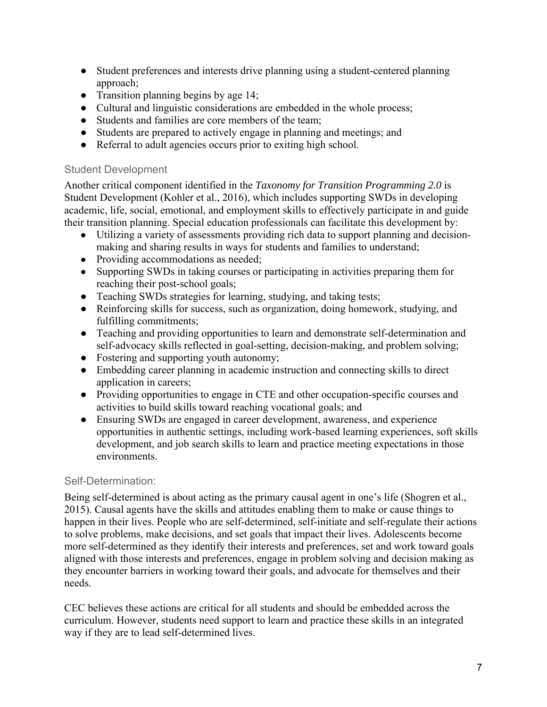- Student preferences and interests drive planning using a student-centered planning approach;
- Transition planning begins by age 14;
- Cultural and linguistic considerations are embedded in the whole process;
- Students and families are core members of the team;
- Students are prepared to actively engage in planning and meetings; and
- Referral to adult agencies occurs prior to exiting high school.

### Student Development

Another critical component identified in the *Taxonomy for Transition Programming 2.0* is Student Development (Kohler et al., 2016), which includes supporting SWDs in developing academic, life, social, emotional, and employment skills to effectively participate in and guide their transition planning. Special education professionals can facilitate this development by:

- Utilizing a variety of assessments providing rich data to support planning and decisionmaking and sharing results in ways for students and families to understand;
- Providing accommodations as needed;
- Supporting SWDs in taking courses or participating in activities preparing them for reaching their post-school goals;
- Teaching SWDs strategies for learning, studying, and taking tests;
- Reinforcing skills for success, such as organization, doing homework, studying, and fulfilling commitments;
- Teaching and providing opportunities to learn and demonstrate self-determination and self-advocacy skills reflected in goal-setting, decision-making, and problem solving;
- Fostering and supporting youth autonomy;
- Embedding career planning in academic instruction and connecting skills to direct application in careers;
- Providing opportunities to engage in CTE and other occupation-specific courses and activities to build skills toward reaching vocational goals; and
- Ensuring SWDs are engaged in career development, awareness, and experience opportunities in authentic settings, including work-based learning experiences, soft skills development, and job search skills to learn and practice meeting expectations in those environments.

## Self-Determination:

Being self-determined is about acting as the primary causal agent in one's life (Shogren et al., 2015). Causal agents have the skills and attitudes enabling them to make or cause things to happen in their lives. People who are self-determined, self-initiate and self-regulate their actions to solve problems, make decisions, and set goals that impact their lives. Adolescents become more self-determined as they identify their interests and preferences, set and work toward goals aligned with those interests and preferences, engage in problem solving and decision making as they encounter barriers in working toward their goals, and advocate for themselves and their needs.

CEC believes these actions are critical for all students and should be embedded across the curriculum. However, students need support to learn and practice these skills in an integrated way if they are to lead self-determined lives.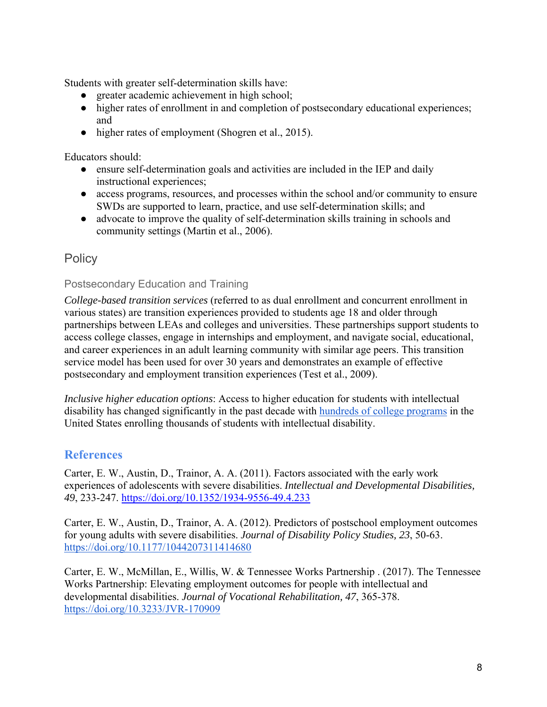Students with greater self-determination skills have:

- greater academic achievement in high school;
- higher rates of enrollment in and completion of postsecondary educational experiences; and
- higher rates of employment (Shogren et al., 2015).

Educators should:

- ensure self-determination goals and activities are included in the IEP and daily instructional experiences;
- access programs, resources, and processes within the school and/or community to ensure SWDs are supported to learn, practice, and use self-determination skills; and
- advocate to improve the quality of self-determination skills training in schools and community settings (Martin et al., 2006).

# **Policy**

### Postsecondary Education and Training

*College-based transition services* (referred to as dual enrollment and concurrent enrollment in various states) are transition experiences provided to students age 18 and older through partnerships between LEAs and colleges and universities. These partnerships support students to access college classes, engage in internships and employment, and navigate social, educational, and career experiences in an adult learning community with similar age peers. This transition service model has been used for over 30 years and demonstrates an example of effective postsecondary and employment transition experiences (Test et al., 2009).

*Inclusive higher education options*: Access to higher education for students with intellectual disability has changed significantly in the past decade with hundreds of college programs in the United States enrolling thousands of students with intellectual disability.

## **References**

Carter, E. W., Austin, D., Trainor, A. A. (2011). Factors associated with the early work experiences of adolescents with severe disabilities. *Intellectual and Developmental Disabilities, 49*, 233-247. https://doi.org/10.1352/1934-9556-49.4.233

Carter, E. W., Austin, D., Trainor, A. A. (2012). Predictors of postschool employment outcomes for young adults with severe disabilities. *Journal of Disability Policy Studies, 23*, 50-63. https://doi.org/10.1177/1044207311414680

Carter, E. W., McMillan, E., Willis, W. & Tennessee Works Partnership . (2017). The Tennessee Works Partnership: Elevating employment outcomes for people with intellectual and developmental disabilities. *Journal of Vocational Rehabilitation, 47*, 365-378. https://doi.org/10.3233/JVR-170909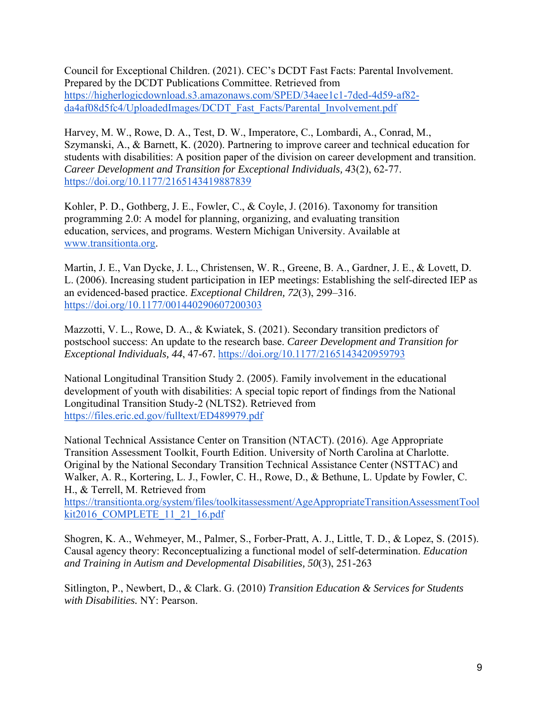Council for Exceptional Children. (2021). CEC's DCDT Fast Facts: Parental Involvement. Prepared by the DCDT Publications Committee. Retrieved from https://higherlogicdownload.s3.amazonaws.com/SPED/34aee1c1-7ded-4d59-af82 da4af08d5fc4/UploadedImages/DCDT\_Fast\_Facts/Parental\_Involvement.pdf

Harvey, M. W., Rowe, D. A., Test, D. W., Imperatore, C., Lombardi, A., Conrad, M., Szymanski, A., & Barnett, K. (2020). Partnering to improve career and technical education for students with disabilities: A position paper of the division on career development and transition. *Career Development and Transition for Exceptional Individuals, 4*3(2), 62-77. https://doi.org/10.1177/2165143419887839

Kohler, P. D., Gothberg, J. E., Fowler, C., & Coyle, J. (2016). Taxonomy for transition programming 2.0: A model for planning, organizing, and evaluating transition education, services, and programs. Western Michigan University. Available at www.transitionta.org.

Martin, J. E., Van Dycke, J. L., Christensen, W. R., Greene, B. A., Gardner, J. E., & Lovett, D. L. (2006). Increasing student participation in IEP meetings: Establishing the self-directed IEP as an evidenced-based practice. *Exceptional Children, 72*(3), 299–316. https://doi.org/10.1177/001440290607200303

Mazzotti, V. L., Rowe, D. A., & Kwiatek, S. (2021). Secondary transition predictors of postschool success: An update to the research base. *Career Development and Transition for Exceptional Individuals, 44*, 47-67. https://doi.org/10.1177/2165143420959793

National Longitudinal Transition Study 2. (2005). Family involvement in the educational development of youth with disabilities: A special topic report of findings from the National Longitudinal Transition Study-2 (NLTS2). Retrieved from https://files.eric.ed.gov/fulltext/ED489979.pdf

National Technical Assistance Center on Transition (NTACT). (2016). Age Appropriate Transition Assessment Toolkit, Fourth Edition. University of North Carolina at Charlotte. Original by the National Secondary Transition Technical Assistance Center (NSTTAC) and Walker, A. R., Kortering, L. J., Fowler, C. H., Rowe, D., & Bethune, L. Update by Fowler, C. H., & Terrell, M. Retrieved from

https://transitionta.org/system/files/toolkitassessment/AgeAppropriateTransitionAssessmentTool kit2016\_COMPLETE\_11\_21\_16.pdf

Shogren, K. A., Wehmeyer, M., Palmer, S., Forber-Pratt, A. J., Little, T. D., & Lopez, S. (2015). Causal agency theory: Reconceptualizing a functional model of self-determination. *Education and Training in Autism and Developmental Disabilities, 50*(3), 251-263

Sitlington, P., Newbert, D., & Clark. G. (2010) *Transition Education & Services for Students with Disabilities.* NY: Pearson.